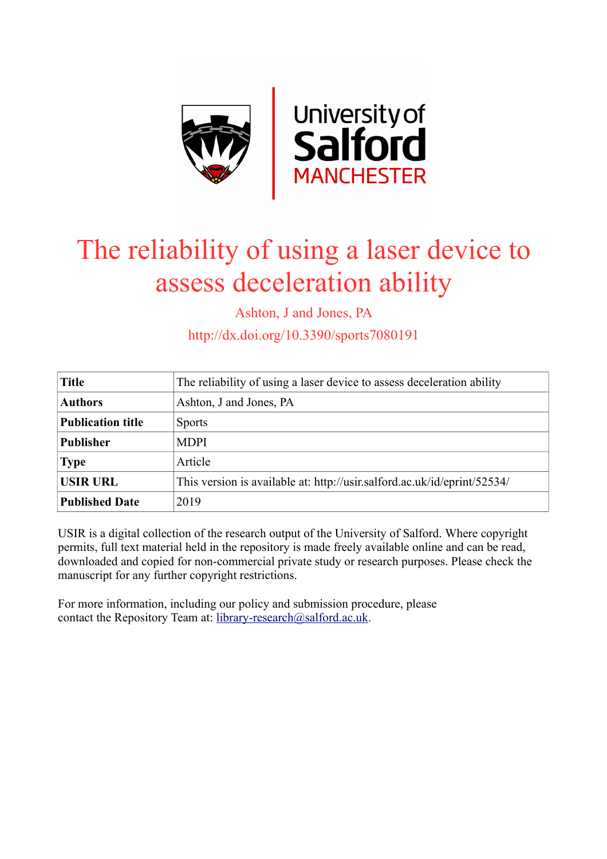

# The reliability of using a laser device to assess deceleration ability

Ashton, J and Jones, PA

http://dx.doi.org/10.3390/sports7080191

| <b>Title</b>             | The reliability of using a laser device to assess deceleration ability   |
|--------------------------|--------------------------------------------------------------------------|
| <b>Authors</b>           | Ashton, J and Jones, PA                                                  |
| <b>Publication title</b> | <b>Sports</b>                                                            |
| <b>Publisher</b>         | <b>MDPI</b>                                                              |
| <b>Type</b>              | Article                                                                  |
| <b>USIR URL</b>          | This version is available at: http://usir.salford.ac.uk/id/eprint/52534/ |
| <b>Published Date</b>    | 2019                                                                     |

USIR is a digital collection of the research output of the University of Salford. Where copyright permits, full text material held in the repository is made freely available online and can be read, downloaded and copied for non-commercial private study or research purposes. Please check the manuscript for any further copyright restrictions.

For more information, including our policy and submission procedure, please contact the Repository Team at: [library-research@salford.ac.uk.](mailto:library-research@salford.ac.uk)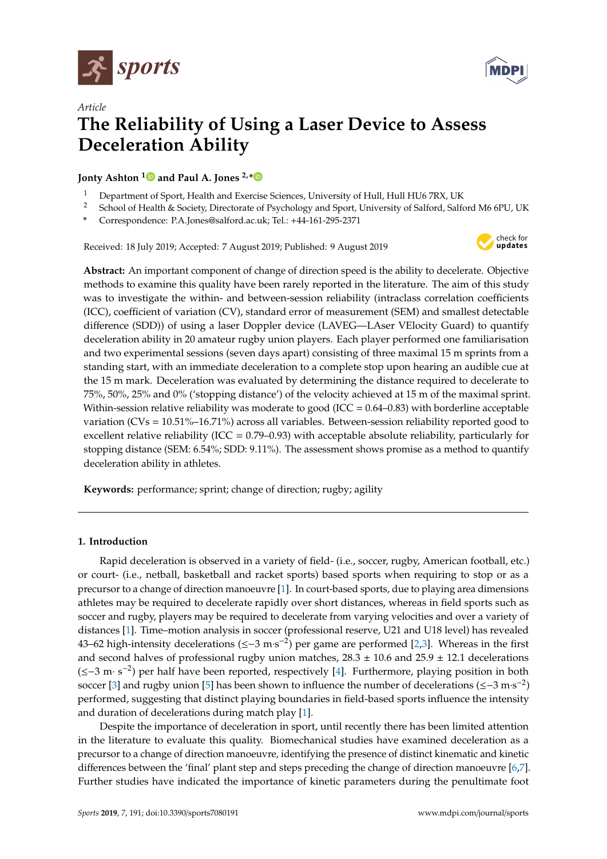

*Article*



# **The Reliability of Using a Laser Device to Assess Deceleration Ability**

**Jonty Ashton [1](https://orcid.org/0000-0003-4144-7274) and Paul A. Jones 2,[\\*](https://orcid.org/0000-0002-3295-7670)**

- <sup>1</sup> Department of Sport, Health and Exercise Sciences, University of Hull, Hull HU6 7RX, UK<br><sup>2</sup> School of Hoalth & Society, Directorate of Psychology and Sport, University of Salford, Salfo
- <sup>2</sup> School of Health & Society, Directorate of Psychology and Sport, University of Salford, Salford M6 6PU, UK
- **\*** Correspondence: P.A.Jones@salford.ac.uk; Tel.: +44-161-295-2371

Received: 18 July 2019; Accepted: 7 August 2019; Published: 9 August 2019



**Abstract:** An important component of change of direction speed is the ability to decelerate. Objective methods to examine this quality have been rarely reported in the literature. The aim of this study was to investigate the within- and between-session reliability (intraclass correlation coefficients (ICC), coefficient of variation (CV), standard error of measurement (SEM) and smallest detectable difference (SDD)) of using a laser Doppler device (LAVEG—LAser VElocity Guard) to quantify deceleration ability in 20 amateur rugby union players. Each player performed one familiarisation and two experimental sessions (seven days apart) consisting of three maximal 15 m sprints from a standing start, with an immediate deceleration to a complete stop upon hearing an audible cue at the 15 m mark. Deceleration was evaluated by determining the distance required to decelerate to 75%, 50%, 25% and 0% ('stopping distance') of the velocity achieved at 15 m of the maximal sprint. Within-session relative reliability was moderate to good (ICC =  $0.64-0.83$ ) with borderline acceptable variation (CVs = 10.51%–16.71%) across all variables. Between-session reliability reported good to excellent relative reliability (ICC = 0.79–0.93) with acceptable absolute reliability, particularly for stopping distance (SEM: 6.54%; SDD: 9.11%). The assessment shows promise as a method to quantify deceleration ability in athletes.

**Keywords:** performance; sprint; change of direction; rugby; agility

### **1. Introduction**

Rapid deceleration is observed in a variety of field- (i.e., soccer, rugby, American football, etc.) or court- (i.e., netball, basketball and racket sports) based sports when requiring to stop or as a precursor to a change of direction manoeuvre [\[1\]](#page-8-0). In court-based sports, due to playing area dimensions athletes may be required to decelerate rapidly over short distances, whereas in field sports such as soccer and rugby, players may be required to decelerate from varying velocities and over a variety of distances [\[1\]](#page-8-0). Time–motion analysis in soccer (professional reserve, U21 and U18 level) has revealed 43–62 high-intensity decelerations (≤–3 m·s<sup>-2</sup>) per game are performed [\[2](#page-8-1)[,3\]](#page-8-2). Whereas in the first and second halves of professional rugby union matches,  $28.3 \pm 10.6$  and  $25.9 \pm 12.1$  decelerations (≤−3 m· s −2 ) per half have been reported, respectively [\[4\]](#page-8-3). Furthermore, playing position in both soccer [\[3\]](#page-8-2) and rugby union [\[5\]](#page-8-4) has been shown to influence the number of decelerations (≤−3 m·s<sup>-2</sup>) performed, suggesting that distinct playing boundaries in field-based sports influence the intensity and duration of decelerations during match play [\[1\]](#page-8-0).

Despite the importance of deceleration in sport, until recently there has been limited attention in the literature to evaluate this quality. Biomechanical studies have examined deceleration as a precursor to a change of direction manoeuvre, identifying the presence of distinct kinematic and kinetic differences between the 'final' plant step and steps preceding the change of direction manoeuvre [\[6](#page-8-5)[,7\]](#page-8-6). Further studies have indicated the importance of kinetic parameters during the penultimate foot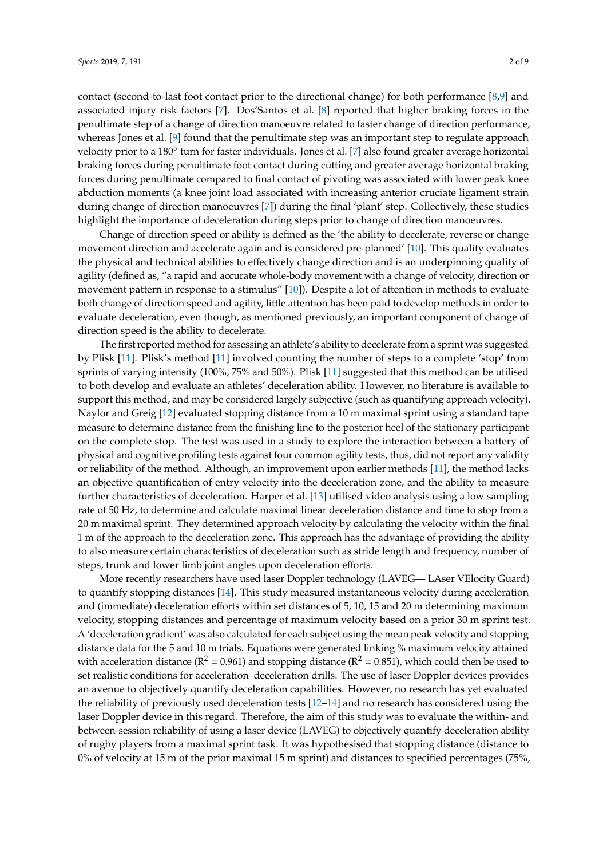contact (second-to-last foot contact prior to the directional change) for both performance [\[8,](#page-8-7)[9\]](#page-8-8) and associated injury risk factors [\[7\]](#page-8-6). Dos'Santos et al. [\[8\]](#page-8-7) reported that higher braking forces in the penultimate step of a change of direction manoeuvre related to faster change of direction performance, whereas Jones et al. [\[9\]](#page-8-8) found that the penultimate step was an important step to regulate approach velocity prior to a 180° turn for faster individuals. Jones et al. [\[7\]](#page-8-6) also found greater average horizontal braking forces during penultimate foot contact during cutting and greater average horizontal braking forces during penultimate compared to final contact of pivoting was associated with lower peak knee abduction moments (a knee joint load associated with increasing anterior cruciate ligament strain during change of direction manoeuvres [\[7\]](#page-8-6)) during the final 'plant' step. Collectively, these studies highlight the importance of deceleration during steps prior to change of direction manoeuvres.

Change of direction speed or ability is defined as the 'the ability to decelerate, reverse or change movement direction and accelerate again and is considered pre-planned' [\[10\]](#page-8-9). This quality evaluates the physical and technical abilities to effectively change direction and is an underpinning quality of agility (defined as, "a rapid and accurate whole-body movement with a change of velocity, direction or movement pattern in response to a stimulus" [\[10\]](#page-8-9)). Despite a lot of attention in methods to evaluate both change of direction speed and agility, little attention has been paid to develop methods in order to evaluate deceleration, even though, as mentioned previously, an important component of change of direction speed is the ability to decelerate.

The first reported method for assessing an athlete's ability to decelerate from a sprint was suggested by Plisk [\[11\]](#page-8-10). Plisk's method [\[11\]](#page-8-10) involved counting the number of steps to a complete 'stop' from sprints of varying intensity (100%, 75% and 50%). Plisk [\[11\]](#page-8-10) suggested that this method can be utilised to both develop and evaluate an athletes' deceleration ability. However, no literature is available to support this method, and may be considered largely subjective (such as quantifying approach velocity). Naylor and Greig [\[12\]](#page-8-11) evaluated stopping distance from a 10 m maximal sprint using a standard tape measure to determine distance from the finishing line to the posterior heel of the stationary participant on the complete stop. The test was used in a study to explore the interaction between a battery of physical and cognitive profiling tests against four common agility tests, thus, did not report any validity or reliability of the method. Although, an improvement upon earlier methods [\[11\]](#page-8-10), the method lacks an objective quantification of entry velocity into the deceleration zone, and the ability to measure further characteristics of deceleration. Harper et al. [\[13\]](#page-8-12) utilised video analysis using a low sampling rate of 50 Hz, to determine and calculate maximal linear deceleration distance and time to stop from a 20 m maximal sprint. They determined approach velocity by calculating the velocity within the final 1 m of the approach to the deceleration zone. This approach has the advantage of providing the ability to also measure certain characteristics of deceleration such as stride length and frequency, number of steps, trunk and lower limb joint angles upon deceleration efforts.

More recently researchers have used laser Doppler technology (LAVEG— LAser VElocity Guard) to quantify stopping distances [\[14\]](#page-8-13). This study measured instantaneous velocity during acceleration and (immediate) deceleration efforts within set distances of 5, 10, 15 and 20 m determining maximum velocity, stopping distances and percentage of maximum velocity based on a prior 30 m sprint test. A 'deceleration gradient' was also calculated for each subject using the mean peak velocity and stopping distance data for the 5 and 10 m trials. Equations were generated linking % maximum velocity attained with acceleration distance ( $R^2 = 0.961$ ) and stopping distance ( $R^2 = 0.851$ ), which could then be used to set realistic conditions for acceleration–deceleration drills. The use of laser Doppler devices provides an avenue to objectively quantify deceleration capabilities. However, no research has yet evaluated the reliability of previously used deceleration tests [\[12–](#page-8-11)[14\]](#page-8-13) and no research has considered using the laser Doppler device in this regard. Therefore, the aim of this study was to evaluate the within- and between-session reliability of using a laser device (LAVEG) to objectively quantify deceleration ability of rugby players from a maximal sprint task. It was hypothesised that stopping distance (distance to 0% of velocity at 15 m of the prior maximal 15 m sprint) and distances to specified percentages (75%,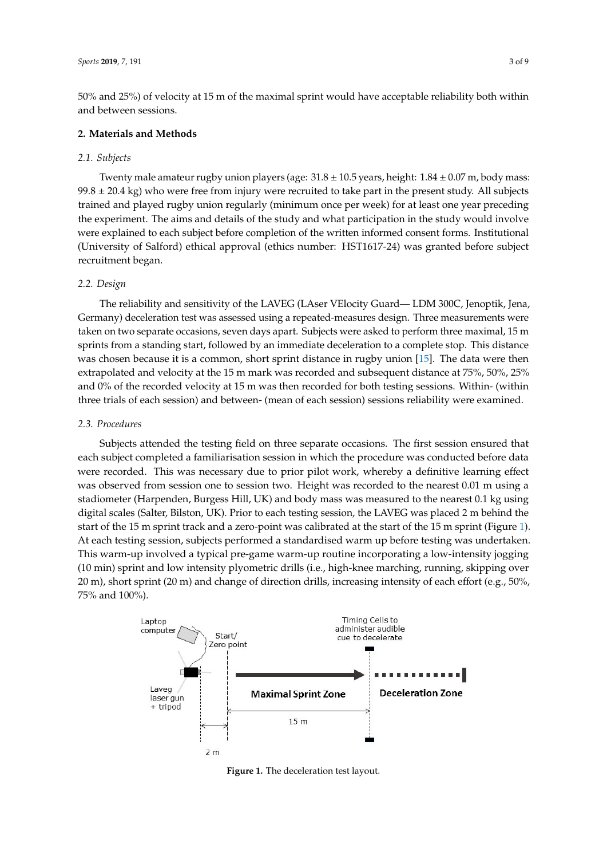50% and 25%) of velocity at 15 m of the maximal sprint would have acceptable reliability both within and between sessions.

### 2. Materials and Methods

#### *2.1. Subjects*  $\mathbf{u}_{\text{block}}$ mass: 99.8  $\mu$  20.4  $\mu$  who were free from injury were recorded to take part in the present study. All the present study. All the present study. All the present study. All the present study. All the present study. All th

Twenty male amateur rugby union players (age:  $31.8 \pm 10.5$  years, height:  $1.84 \pm 0.07$  m, body mass:  $99.8 \pm 20.4$  kg) who were free from injury were recruited to take part in the present study. All subjects trained and played rugby union regularly (minimum once per week) for at least one year preceding the experiment. The aims and details of the study and what participation in the study would involve were explained to each subject before completion of the written informed consent forms. Institutional (University of Salford) ethical approval (ethics number: HST1617-24) was granted before subject recruitment began. *2.2. Design* 

#### *2.2. Design*  $T$ esion

The reliability and sensitivity of the LAVEG (LAser VElocity Guard— LDM 300C, Jenoptik, Jena, Germany) deceleration test was assessed using a repeated-measures design. Three measurements were taken on two separate occasions, seven days apart. Subjects were asked to perform three maximal, 15 m sprints from a standing start, followed by an immediate deceleration to a complete stop. This distance was chosen because it is a common, short sprint distance in rugby union [\[15\]](#page-8-14). The data were then extrapolated and velocity at the 15 m mark was recorded and subsequent distance at  $75\%$ ,  $50\%$ ,  $25\%$ and  $0\%$  of the recorded velocity at 15 m was then recorded for both testing sessions. Within- (within three trials of each session) and between- (mean of each session) sessions reliability were examined. Germany) deceleration test was assessed using a repeated-measures design. Three measurements The tenability and sensitivity of the LAVEG (LASEL VERCITY Guard— LDIVI 500C, Jenophk, Jena,

## *2.3. Procedures 2.3. Procedures*

Subjects attended the testing field on three separate occasions. The first session ensured that each subjects attended the testing field of these separate occusions. The first session tristated that were recorded. This was necessary due to prior pilot work, whereby a definitive learning effect were recorded. This was recessary due to prior phot work, whereby a demattive rearring effect was observed from session one to session two. Height was recorded to the nearest 0.01 m using a stadiometer (Harpenden, Burgess Hill, UK) and body mass was measured to the nearest 0.1 kg using stadiometer (Harpenden, Burgess Hill, UK) and body mass was measured to the nearest 0.1 kg using digital scales (Salter, Bilston, UK). Prior to each testing session, the LAVEG was placed 2 m behind the digital scales (Salter, Bilston, UK). Prior to each testing session, the LAVEG was placed 2 m behind start of the 15 m sprint track and a zero-point was calibrated at the start of the 15 m sprint (Figure [1\)](#page-3-0). Blart of the 10 In sprint track and a zero point was canstated at the start of the 15 In sprint (11gare 1).<br>At each testing session, subjects performed a standardised warm up before testing was undertaken. This warm-up involved a typical pre-game warm-up routine incorporating a low-intensity jogging<br>This warm-up involved a typical pre-game warm-up routine incorporating a low-intensity jogging (10 min) sprint and low intensity plyometric drills (i.e., high-knee marching, running, skipping over<br>20 ml and change of direction drills, increasing intensity intensity in tensity in tension of the space 20 m), short sprint (20 m) and change of direction drills, increasing intensity of each effort (e.g., 50%,<br>"5% and 100%) 75% and 100%). recorded to provide a completion of the providence of the procedure of the procedure of the definitive learning effect  $t_{\rm{max}}$  start of the 15 m sprint track and a zero-point was called at the start of the 15 m space  $\frac{1}{2}$ intensity jogging (10 min) sprint and low intensity plyon intensity pogenty

<span id="page-3-0"></span>

**Figure 1.** The deceleration test layout. **Figure 1.** The deceleration test layout.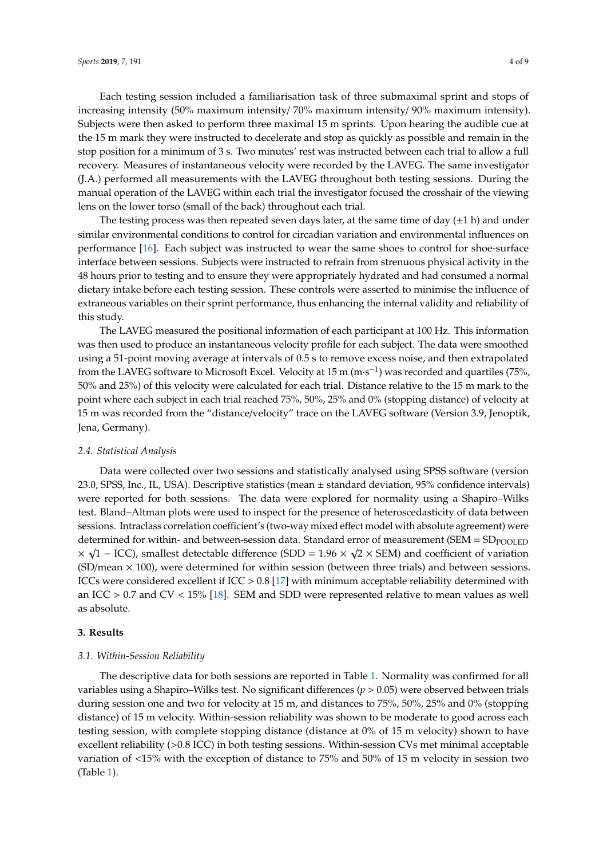Each testing session included a familiarisation task of three submaximal sprint and stops of

increasing intensity (50% maximum intensity/ 70% maximum intensity/ 90% maximum intensity). Subjects were then asked to perform three maximal 15 m sprints. Upon hearing the audible cue at the 15 m mark they were instructed to decelerate and stop as quickly as possible and remain in the stop position for a minimum of 3 s. Two minutes' rest was instructed between each trial to allow a full recovery. Measures of instantaneous velocity were recorded by the LAVEG. The same investigator (J.A.) performed all measurements with the LAVEG throughout both testing sessions. During the manual operation of the LAVEG within each trial the investigator focused the crosshair of the viewing lens on the lower torso (small of the back) throughout each trial.

The testing process was then repeated seven days later, at the same time of day  $(\pm 1 h)$  and under similar environmental conditions to control for circadian variation and environmental influences on performance [\[16\]](#page-8-15). Each subject was instructed to wear the same shoes to control for shoe-surface interface between sessions. Subjects were instructed to refrain from strenuous physical activity in the 48 hours prior to testing and to ensure they were appropriately hydrated and had consumed a normal dietary intake before each testing session. These controls were asserted to minimise the influence of extraneous variables on their sprint performance, thus enhancing the internal validity and reliability of this study.

The LAVEG measured the positional information of each participant at 100 Hz. This information was then used to produce an instantaneous velocity profile for each subject. The data were smoothed using a 51-point moving average at intervals of 0.5 s to remove excess noise, and then extrapolated from the LAVEG software to Microsoft Excel. Velocity at 15 m (m·s<sup>-1</sup>) was recorded and quartiles (75%, 50% and 25%) of this velocity were calculated for each trial. Distance relative to the 15 m mark to the point where each subject in each trial reached 75%, 50%, 25% and 0% (stopping distance) of velocity at 15 m was recorded from the "distance/velocity" trace on the LAVEG software (Version 3.9, Jenoptik, Jena, Germany).

#### *2.4. Statistical Analysis*

Data were collected over two sessions and statistically analysed using SPSS software (version 23.0, SPSS, Inc., IL, USA). Descriptive statistics (mean ± standard deviation, 95% confidence intervals) were reported for both sessions. The data were explored for normality using a Shapiro–Wilks test. Bland–Altman plots were used to inspect for the presence of heteroscedasticity of data between sessions. Intraclass correlation coefficient's (two-way mixed effect model with absolute agreement) were determined for within- and between-session data. Standard error of measurement (SEM =  $\text{SD}_{\text{POOLED}}$  $\times \sqrt{1}$  – ICC), smallest detectable difference (SDD = 1.96  $\times \sqrt{2} \times$  SEM) and coefficient of variation  $(SD/mean \times 100)$ , were determined for within session (between three trials) and between sessions. ICCs were considered excellent if ICC > 0.8 [\[17\]](#page-8-16) with minimum acceptable reliability determined with an ICC  $> 0.7$  and CV  $< 15\%$  [\[18\]](#page-8-17). SEM and SDD were represented relative to mean values as well as absolute.

#### **3. Results**

#### *3.1. Within-Session Reliability*

The descriptive data for both sessions are reported in Table [1.](#page-5-0) Normality was confirmed for all variables using a Shapiro–Wilks test. No significant differences  $(p > 0.05)$  were observed between trials during session one and two for velocity at 15 m, and distances to 75%, 50%, 25% and 0% (stopping distance) of 15 m velocity. Within-session reliability was shown to be moderate to good across each testing session, with complete stopping distance (distance at 0% of 15 m velocity) shown to have excellent reliability (>0.8 ICC) in both testing sessions. Within-session CVs met minimal acceptable variation of <15% with the exception of distance to 75% and 50% of 15 m velocity in session two (Table [1\)](#page-5-0).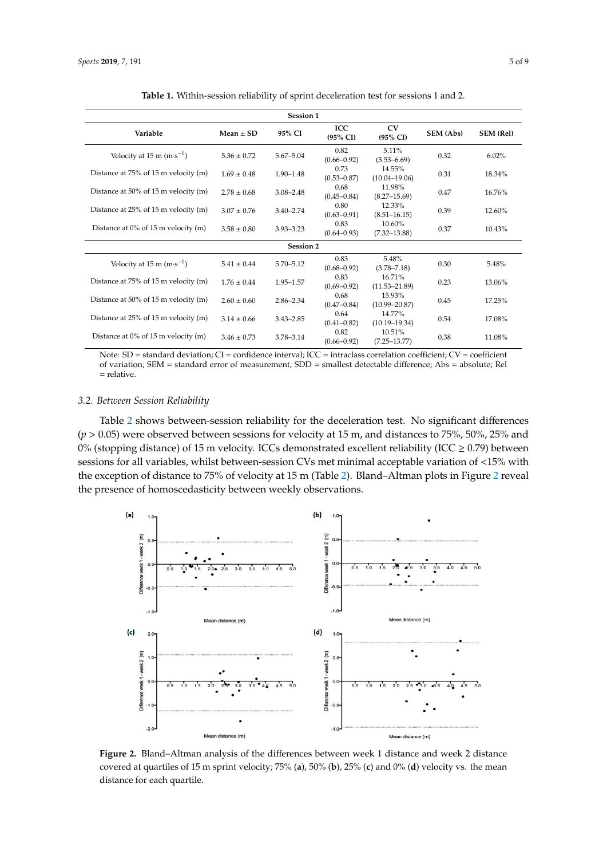<span id="page-5-0"></span>

| Session 1                              |                 |               |                                   |                             |                  |                  |  |  |  |  |  |
|----------------------------------------|-----------------|---------------|-----------------------------------|-----------------------------|------------------|------------------|--|--|--|--|--|
| Variable                               | $Mean + SD$     | 95% CI        | <b>ICC</b><br>$(95\% \text{ CI})$ | CV<br>$(95\% \text{ CI})$   | <b>SEM (Abs)</b> | <b>SEM (Rel)</b> |  |  |  |  |  |
| Velocity at 15 m $(m \cdot s^{-1})$    | $5.36 \pm 0.72$ | $5.67 - 5.04$ | 0.82<br>$(0.66 - 0.92)$           | 5.11%<br>$(3.53 - 6.69)$    | 0.32             | 6.02%            |  |  |  |  |  |
| Distance at 75% of 15 m velocity (m)   | $1.69 + 0.48$   | $1.90 - 1.48$ | 0.73<br>$(0.53 - 0.87)$           | 14.55%<br>$(10.04 - 19.06)$ | 0.31             | 18.34%           |  |  |  |  |  |
| Distance at 50% of 15 m velocity (m)   | $2.78 \pm 0.68$ | $3.08 - 2.48$ | 0.68<br>$(0.45 - 0.84)$           | 11.98%<br>$(8.27 - 15.69)$  | 0.47             | 16.76%           |  |  |  |  |  |
| Distance at 25% of 15 m velocity (m)   | $3.07 + 0.76$   | $3.40 - 2.74$ | 0.80<br>$(0.63 - 0.91)$           | 12.33%<br>$(8.51 - 16.15)$  | 0.39             | 12.60%           |  |  |  |  |  |
| Distance at $0\%$ of 15 m velocity (m) | $3.58 \pm 0.80$ | $3.93 - 3.23$ | 0.83<br>$(0.64 - 0.93)$           | 10.60%<br>$(7.32 - 13.88)$  | 0.37             | 10.43%           |  |  |  |  |  |
| <b>Session 2</b>                       |                 |               |                                   |                             |                  |                  |  |  |  |  |  |
| Velocity at 15 m $(m \cdot s^{-1})$    | $5.41 \pm 0.44$ | $5.70 - 5.12$ | 0.83<br>$(0.68 - 0.92)$           | 5.48%<br>$(3.78 - 7.18)$    | 0.30             | 5.48%            |  |  |  |  |  |
| Distance at 75% of 15 m velocity (m)   | $1.76 + 0.44$   | 1.95-1.57     | 0.83<br>$(0.69 - 0.92)$           | 16.71%<br>$(11.53 - 21.89)$ | 0.23             | 13.06%           |  |  |  |  |  |
| Distance at 50% of 15 m velocity (m)   | $2.60 \pm 0.60$ | $2.86 - 2.34$ | 0.68<br>$(0.47 - 0.84)$           | 15.93%<br>$(10.99 - 20.87)$ | 0.45             | 17.25%           |  |  |  |  |  |
| Distance at 25% of 15 m velocity (m)   | $3.14 \pm 0.66$ | $3.43 - 2.85$ | 0.64<br>$(0.41 - 0.82)$           | 14.77%<br>$(10.19 - 19.34)$ | 0.54             | 17.08%           |  |  |  |  |  |
| Distance at $0\%$ of 15 m velocity (m) | $3.46 \pm 0.73$ | 3.78-3.14     | 0.82<br>$(0.66 - 0.92)$           | 10.51%<br>$(7.25 - 13.77)$  | 0.38             | 11.08%           |  |  |  |  |  |

**Table 1.** Within-session reliability of sprint deceleration test for sessions 1 and 2.

Note: SD = standard deviation; CI = confidence interval; ICC = intraclass correlation coefficient; CV = coefficient of variation; SEM = standard error of measurement; SDD = smallest detectable difference; Abs = absolute; Rel = relative.

#### *3.2. Between Session Reliability*

Table [2](#page-6-0) shows between-session reliability for the deceleration test. No significant differences  $(p > 0.05)$  were observed between sessions for velocity at 15 m, and distances to 75%, 50%, 25% and 0% (stopping distance) of 15 m velocity. ICCs demonstrated excellent reliability (ICC  $\geq$  0.79) between sessions for all variables, whilst between-session CVs met minimal acceptable variation of <15% with the exception of distance to 75% of velocity at 15 m (Table [2\)](#page-6-0). Bland–Altman plots in Figure [2](#page-5-1) reveal the presence of homoscedasticity between weekly observations.

<span id="page-5-1"></span>

**Figure 2.** Bland–Altman analysis of the differences between week 1 distance and week 2 distance **Figure 2.** Bland–Altman analysis of the differences between week 1 distance and week 2 distance covered at quartiles of 15 m sprint velocity; 75% (a), 50% (b), 25% (c) and 0% (d) velocity vs. the mean distance for each quartile. distance for each quartile.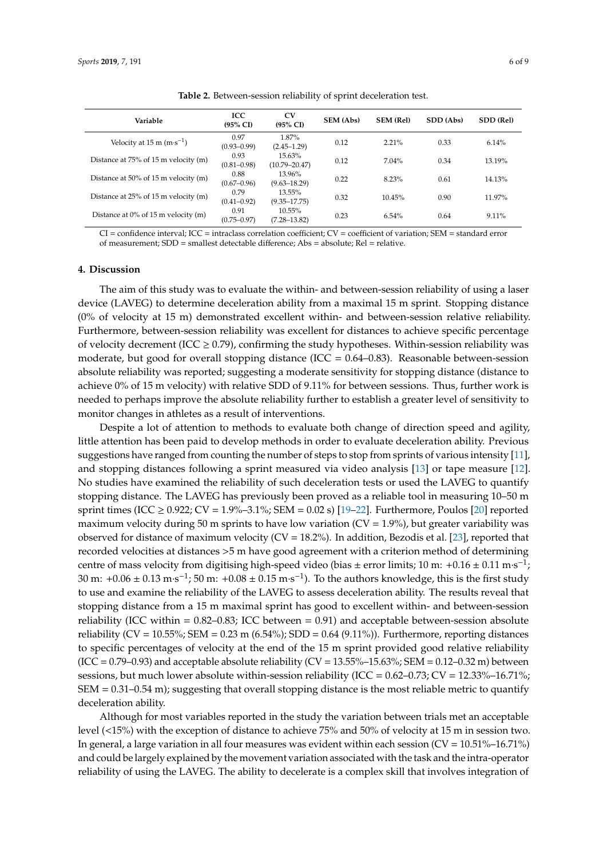<span id="page-6-0"></span>

| Variable                                                  | ICC<br>$(95\% \text{ CI})$ | <b>CV</b><br>$(95\% \text{ CI})$ | <b>SEM (Abs)</b> | <b>SEM (Rel)</b> | SDD (Abs) | SDD (Rel) |
|-----------------------------------------------------------|----------------------------|----------------------------------|------------------|------------------|-----------|-----------|
| Velocity at $15 \text{ m} (\text{m} \cdot \text{s}^{-1})$ | 0.97<br>$(0.93 - 0.99)$    | 1.87%<br>$(2.45 - 1.29)$         | 0.12             | $2.21\%$         | 0.33      | 6.14%     |
| Distance at 75% of 15 m velocity (m)                      | 0.93<br>$(0.81 - 0.98)$    | 15.63%<br>$(10.79 - 20.47)$      | 0.12             | $7.04\%$         | 0.34      | 13.19%    |
| Distance at 50% of 15 m velocity (m)                      | 0.88<br>$(0.67 - 0.96)$    | 13.96%<br>$(9.63 - 18.29)$       | 0.22             | 8.23%            | 0.61      | 14.13%    |
| Distance at 25% of 15 m velocity (m)                      | 0.79<br>$(0.41 - 0.92)$    | 13.55%<br>$(9.35 - 17.75)$       | 0.32             | 10.45%           | 0.90      | 11.97%    |
| Distance at $0\%$ of 15 m velocity (m)                    | 0.91<br>$(0.75 - 0.97)$    | 10.55%<br>$(7.28 - 13.82)$       | 0.23             | 6.54%            | 0.64      | 9.11%     |

**Table 2.** Between-session reliability of sprint deceleration test.

CI = confidence interval; ICC = intraclass correlation coefficient; CV = coefficient of variation; SEM = standard error of measurement; SDD = smallest detectable difference; Abs = absolute; Rel = relative.

#### **4. Discussion**

The aim of this study was to evaluate the within- and between-session reliability of using a laser device (LAVEG) to determine deceleration ability from a maximal 15 m sprint. Stopping distance (0% of velocity at 15 m) demonstrated excellent within- and between-session relative reliability. Furthermore, between-session reliability was excellent for distances to achieve specific percentage of velocity decrement (ICC  $\geq$  0.79), confirming the study hypotheses. Within-session reliability was moderate, but good for overall stopping distance (ICC =  $0.64-0.83$ ). Reasonable between-session absolute reliability was reported; suggesting a moderate sensitivity for stopping distance (distance to achieve 0% of 15 m velocity) with relative SDD of 9.11% for between sessions. Thus, further work is needed to perhaps improve the absolute reliability further to establish a greater level of sensitivity to monitor changes in athletes as a result of interventions.

Despite a lot of attention to methods to evaluate both change of direction speed and agility, little attention has been paid to develop methods in order to evaluate deceleration ability. Previous suggestions have ranged from counting the number of steps to stop from sprints of various intensity [\[11\]](#page-8-10), and stopping distances following a sprint measured via video analysis [\[13\]](#page-8-12) or tape measure [\[12\]](#page-8-11). No studies have examined the reliability of such deceleration tests or used the LAVEG to quantify stopping distance. The LAVEG has previously been proved as a reliable tool in measuring 10–50 m sprint times (ICC ≥ 0.922; CV = 1.9%–3.1%; SEM = 0.02 s) [\[19](#page-8-18)[–22\]](#page-9-0). Furthermore, Poulos [\[20\]](#page-8-19) reported maximum velocity during 50 m sprints to have low variation ( $CV = 1.9\%$ ), but greater variability was observed for distance of maximum velocity (CV = 18.2%). In addition, Bezodis et al. [\[23\]](#page-9-1), reported that recorded velocities at distances >5 m have good agreement with a criterion method of determining centre of mass velocity from digitising high-speed video (bias ± error limits; 10 m: +0.16 ± 0.11 m·s<sup>-1</sup>; 30 m:  $+0.06 \pm 0.13$  m·s<sup>-1</sup>; 50 m:  $+0.08 \pm 0.15$  m·s<sup>-1</sup>). To the authors knowledge, this is the first study to use and examine the reliability of the LAVEG to assess deceleration ability. The results reveal that stopping distance from a 15 m maximal sprint has good to excellent within- and between-session reliability (ICC within  $= 0.82 - 0.83$ ; ICC between  $= 0.91$ ) and acceptable between-session absolute reliability (CV = 10.55%; SEM = 0.23 m (6.54%); SDD = 0.64 (9.11%)). Furthermore, reporting distances to specific percentages of velocity at the end of the 15 m sprint provided good relative reliability  $(ICC = 0.79-0.93)$  and acceptable absolute reliability  $(CV = 13.55\% - 15.63\%$ ; SEM = 0.12-0.32 m) between sessions, but much lower absolute within-session reliability (ICC =  $0.62-0.73$ ; CV =  $12.33\%$ -16.71%; SEM = 0.31–0.54 m); suggesting that overall stopping distance is the most reliable metric to quantify deceleration ability.

Although for most variables reported in the study the variation between trials met an acceptable level (<15%) with the exception of distance to achieve 75% and 50% of velocity at 15 m in session two. In general, a large variation in all four measures was evident within each session  $(CV = 10.51\% - 16.71\%)$ and could be largely explained by the movement variation associated with the task and the intra-operator reliability of using the LAVEG. The ability to decelerate is a complex skill that involves integration of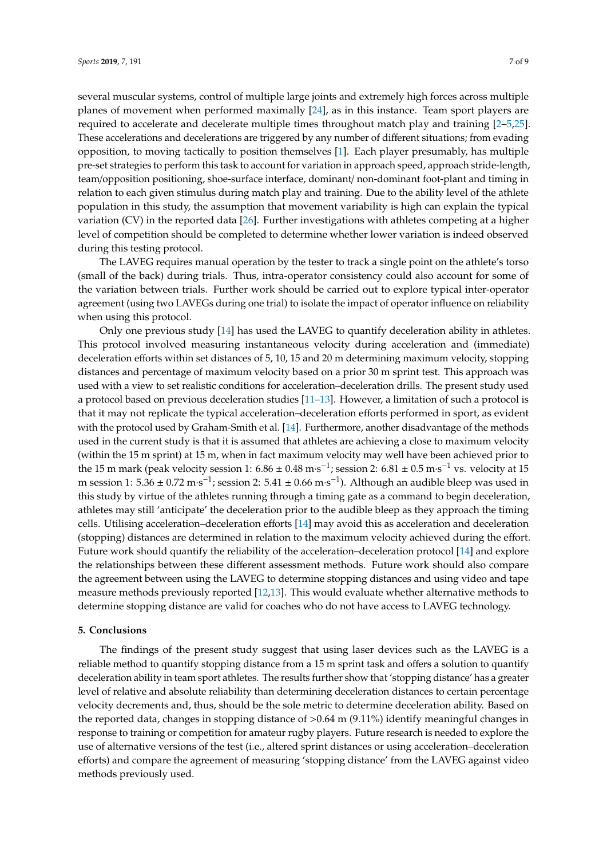several muscular systems, control of multiple large joints and extremely high forces across multiple planes of movement when performed maximally [\[24\]](#page-9-2), as in this instance. Team sport players are required to accelerate and decelerate multiple times throughout match play and training [\[2](#page-8-1)[–5,](#page-8-4)[25\]](#page-9-3). These accelerations and decelerations are triggered by any number of different situations; from evading opposition, to moving tactically to position themselves [\[1\]](#page-8-0). Each player presumably, has multiple pre-set strategies to perform this task to account for variation in approach speed, approach stride-length, team/opposition positioning, shoe-surface interface, dominant/ non-dominant foot-plant and timing in relation to each given stimulus during match play and training. Due to the ability level of the athlete population in this study, the assumption that movement variability is high can explain the typical variation (CV) in the reported data [\[26\]](#page-9-4). Further investigations with athletes competing at a higher level of competition should be completed to determine whether lower variation is indeed observed during this testing protocol.

The LAVEG requires manual operation by the tester to track a single point on the athlete's torso (small of the back) during trials. Thus, intra-operator consistency could also account for some of the variation between trials. Further work should be carried out to explore typical inter-operator agreement (using two LAVEGs during one trial) to isolate the impact of operator influence on reliability when using this protocol.

Only one previous study [\[14\]](#page-8-13) has used the LAVEG to quantify deceleration ability in athletes. This protocol involved measuring instantaneous velocity during acceleration and (immediate) deceleration efforts within set distances of 5, 10, 15 and 20 m determining maximum velocity, stopping distances and percentage of maximum velocity based on a prior 30 m sprint test. This approach was used with a view to set realistic conditions for acceleration–deceleration drills. The present study used a protocol based on previous deceleration studies [\[11–](#page-8-10)[13\]](#page-8-12). However, a limitation of such a protocol is that it may not replicate the typical acceleration–deceleration efforts performed in sport, as evident with the protocol used by Graham-Smith et al. [\[14\]](#page-8-13). Furthermore, another disadvantage of the methods used in the current study is that it is assumed that athletes are achieving a close to maximum velocity (within the 15 m sprint) at 15 m, when in fact maximum velocity may well have been achieved prior to the 15 m mark (peak velocity session 1:  $6.86 \pm 0.48$  m·s<sup>-1</sup>; session 2:  $6.81 \pm 0.5$  m·s<sup>-1</sup> vs. velocity at 15 m session 1:  $5.36 \pm 0.72$  m·s<sup>-1</sup>; session 2:  $5.41 \pm 0.66$  m·s<sup>-1</sup>). Although an audible bleep was used in this study by virtue of the athletes running through a timing gate as a command to begin deceleration, athletes may still 'anticipate' the deceleration prior to the audible bleep as they approach the timing cells. Utilising acceleration–deceleration efforts [\[14\]](#page-8-13) may avoid this as acceleration and deceleration (stopping) distances are determined in relation to the maximum velocity achieved during the effort. Future work should quantify the reliability of the acceleration–deceleration protocol [\[14\]](#page-8-13) and explore the relationships between these different assessment methods. Future work should also compare the agreement between using the LAVEG to determine stopping distances and using video and tape measure methods previously reported [\[12](#page-8-11)[,13\]](#page-8-12). This would evaluate whether alternative methods to determine stopping distance are valid for coaches who do not have access to LAVEG technology.

#### **5. Conclusions**

The findings of the present study suggest that using laser devices such as the LAVEG is a reliable method to quantify stopping distance from a 15 m sprint task and offers a solution to quantify deceleration ability in team sport athletes. The results further show that 'stopping distance' has a greater level of relative and absolute reliability than determining deceleration distances to certain percentage velocity decrements and, thus, should be the sole metric to determine deceleration ability. Based on the reported data, changes in stopping distance of >0.64 m (9.11%) identify meaningful changes in response to training or competition for amateur rugby players. Future research is needed to explore the use of alternative versions of the test (i.e., altered sprint distances or using acceleration–deceleration efforts) and compare the agreement of measuring 'stopping distance' from the LAVEG against video methods previously used.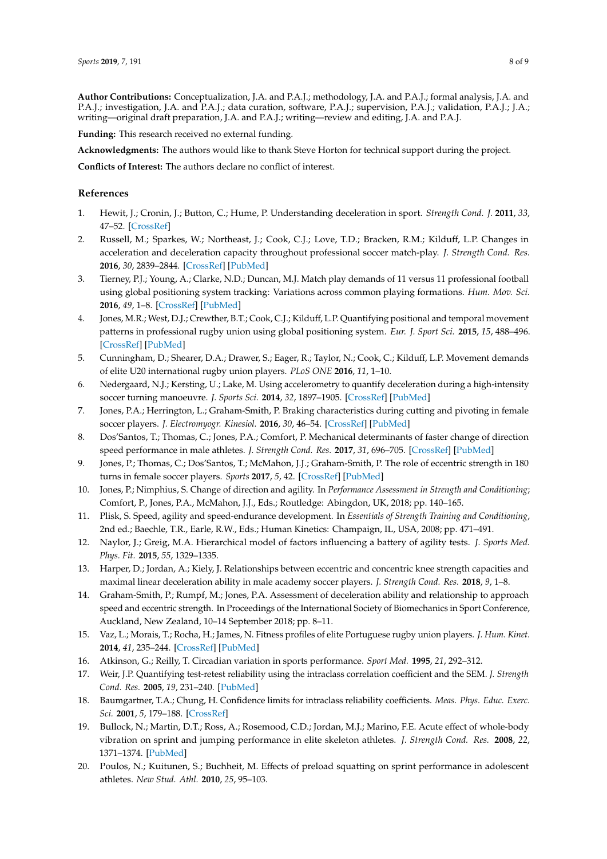**Author Contributions:** Conceptualization, J.A. and P.A.J.; methodology, J.A. and P.A.J.; formal analysis, J.A. and P.A.J.; investigation, J.A. and P.A.J.; data curation, software, P.A.J.; supervision, P.A.J.; validation, P.A.J.; J.A.; writing—original draft preparation, J.A. and P.A.J.; writing—review and editing, J.A. and P.A.J.

**Funding:** This research received no external funding.

**Acknowledgments:** The authors would like to thank Steve Horton for technical support during the project.

**Conflicts of Interest:** The authors declare no conflict of interest.

#### **References**

- <span id="page-8-0"></span>1. Hewit, J.; Cronin, J.; Button, C.; Hume, P. Understanding deceleration in sport. *Strength Cond. J.* **2011**, *33*, 47–52. [\[CrossRef\]](http://dx.doi.org/10.1519/SSC.0b013e3181fbd62c)
- <span id="page-8-1"></span>2. Russell, M.; Sparkes, W.; Northeast, J.; Cook, C.J.; Love, T.D.; Bracken, R.M.; Kilduff, L.P. Changes in acceleration and deceleration capacity throughout professional soccer match-play. *J. Strength Cond. Res.* **2016**, *30*, 2839–2844. [\[CrossRef\]](http://dx.doi.org/10.1519/JSC.0000000000000805) [\[PubMed\]](http://www.ncbi.nlm.nih.gov/pubmed/25474342)
- <span id="page-8-2"></span>3. Tierney, P.J.; Young, A.; Clarke, N.D.; Duncan, M.J. Match play demands of 11 versus 11 professional football using global positioning system tracking: Variations across common playing formations. *Hum. Mov. Sci.* **2016**, *49*, 1–8. [\[CrossRef\]](http://dx.doi.org/10.1016/j.humov.2016.05.007) [\[PubMed\]](http://www.ncbi.nlm.nih.gov/pubmed/27269201)
- <span id="page-8-3"></span>4. Jones, M.R.; West, D.J.; Crewther, B.T.; Cook, C.J.; Kilduff, L.P. Quantifying positional and temporal movement patterns in professional rugby union using global positioning system. *Eur. J. Sport Sci.* **2015**, *15*, 488–496. [\[CrossRef\]](http://dx.doi.org/10.1080/17461391.2015.1010106) [\[PubMed\]](http://www.ncbi.nlm.nih.gov/pubmed/25675258)
- <span id="page-8-4"></span>5. Cunningham, D.; Shearer, D.A.; Drawer, S.; Eager, R.; Taylor, N.; Cook, C.; Kilduff, L.P. Movement demands of elite U20 international rugby union players. *PLoS ONE* **2016**, *11*, 1–10.
- <span id="page-8-5"></span>6. Nedergaard, N.J.; Kersting, U.; Lake, M. Using accelerometry to quantify deceleration during a high-intensity soccer turning manoeuvre. *J. Sports Sci.* **2014**, *32*, 1897–1905. [\[CrossRef\]](http://dx.doi.org/10.1080/02640414.2014.965190) [\[PubMed\]](http://www.ncbi.nlm.nih.gov/pubmed/25394197)
- <span id="page-8-6"></span>7. Jones, P.A.; Herrington, L.; Graham-Smith, P. Braking characteristics during cutting and pivoting in female soccer players. *J. Electromyogr. Kinesiol.* **2016**, *30*, 46–54. [\[CrossRef\]](http://dx.doi.org/10.1016/j.jelekin.2016.05.006) [\[PubMed\]](http://www.ncbi.nlm.nih.gov/pubmed/27295508)
- <span id="page-8-7"></span>8. Dos'Santos, T.; Thomas, C.; Jones, P.A.; Comfort, P. Mechanical determinants of faster change of direction speed performance in male athletes. *J. Strength Cond. Res.* **2017**, *31*, 696–705. [\[CrossRef\]](http://dx.doi.org/10.1519/JSC.0000000000001535) [\[PubMed\]](http://www.ncbi.nlm.nih.gov/pubmed/27379954)
- <span id="page-8-8"></span>9. Jones, P.; Thomas, C.; Dos'Santos, T.; McMahon, J.J.; Graham-Smith, P. The role of eccentric strength in 180 turns in female soccer players. *Sports* **2017**, *5*, 42. [\[CrossRef\]](http://dx.doi.org/10.3390/sports5020042) [\[PubMed\]](http://www.ncbi.nlm.nih.gov/pubmed/29910402)
- <span id="page-8-9"></span>10. Jones, P.; Nimphius, S. Change of direction and agility. In *Performance Assessment in Strength and Conditioning*; Comfort, P., Jones, P.A., McMahon, J.J., Eds.; Routledge: Abingdon, UK, 2018; pp. 140–165.
- <span id="page-8-10"></span>11. Plisk, S. Speed, agility and speed-endurance development. In *Essentials of Strength Training and Conditioning*, 2nd ed.; Baechle, T.R., Earle, R.W., Eds.; Human Kinetics: Champaign, IL, USA, 2008; pp. 471–491.
- <span id="page-8-11"></span>12. Naylor, J.; Greig, M.A. Hierarchical model of factors influencing a battery of agility tests. *J. Sports Med. Phys. Fit.* **2015**, *55*, 1329–1335.
- <span id="page-8-12"></span>13. Harper, D.; Jordan, A.; Kiely, J. Relationships between eccentric and concentric knee strength capacities and maximal linear deceleration ability in male academy soccer players. *J. Strength Cond. Res.* **2018**, *9*, 1–8.
- <span id="page-8-13"></span>14. Graham-Smith, P.; Rumpf, M.; Jones, P.A. Assessment of deceleration ability and relationship to approach speed and eccentric strength. In Proceedings of the International Society of Biomechanics in Sport Conference, Auckland, New Zealand, 10–14 September 2018; pp. 8–11.
- <span id="page-8-14"></span>15. Vaz, L.; Morais, T.; Rocha, H.; James, N. Fitness profiles of elite Portuguese rugby union players. *J. Hum. Kinet.* **2014**, *41*, 235–244. [\[CrossRef\]](http://dx.doi.org/10.2478/hukin-2014-0051) [\[PubMed\]](http://www.ncbi.nlm.nih.gov/pubmed/25114750)
- <span id="page-8-15"></span>16. Atkinson, G.; Reilly, T. Circadian variation in sports performance. *Sport Med.* **1995**, *21*, 292–312.
- <span id="page-8-16"></span>17. Weir, J.P. Quantifying test-retest reliability using the intraclass correlation coefficient and the SEM. *J. Strength Cond. Res.* **2005**, *19*, 231–240. [\[PubMed\]](http://www.ncbi.nlm.nih.gov/pubmed/15705040)
- <span id="page-8-17"></span>18. Baumgartner, T.A.; Chung, H. Confidence limits for intraclass reliability coefficients. *Meas. Phys. Educ. Exerc. Sci.* **2001**, *5*, 179–188. [\[CrossRef\]](http://dx.doi.org/10.1207/S15327841MPEE0503_4)
- <span id="page-8-18"></span>19. Bullock, N.; Martin, D.T.; Ross, A.; Rosemood, C.D.; Jordan, M.J.; Marino, F.E. Acute effect of whole-body vibration on sprint and jumping performance in elite skeleton athletes. *J. Strength Cond. Res.* **2008**, *22*, 1371–1374. [\[PubMed\]](http://www.ncbi.nlm.nih.gov/pubmed/18545165)
- <span id="page-8-19"></span>20. Poulos, N.; Kuitunen, S.; Buchheit, M. Effects of preload squatting on sprint performance in adolescent athletes. *New Stud. Athl.* **2010**, *25*, 95–103.